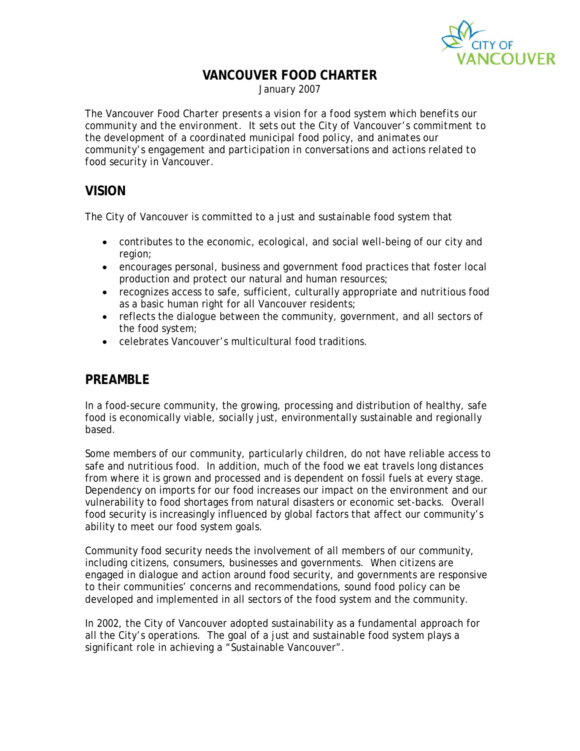

## **VANCOUVER FOOD CHARTER**

January 2007

*The Vancouver Food Charter presents a vision for a food system which benefits our community and the environment. It sets out the City of Vancouver's commitment to the development of a coordinated municipal food policy, and animates our community's engagement and participation in conversations and actions related to food security in Vancouver.* 

# **VISION**

The City of Vancouver is committed to a just and sustainable food system that

- contributes to the economic, ecological, and social well-being of our city and region;
- encourages personal, business and government food practices that foster local production and protect our natural and human resources;
- recognizes access to safe, sufficient, culturally appropriate and nutritious food as a basic human right for all Vancouver residents;
- reflects the dialogue between the community, government, and all sectors of the food system;
- celebrates Vancouver's multicultural food traditions.

# **PREAMBLE**

In a food-secure community, the growing, processing and distribution of healthy, safe food is economically viable, socially just, environmentally sustainable and regionally based.

Some members of our community, particularly children, do not have reliable access to safe and nutritious food. In addition, much of the food we eat travels long distances from where it is grown and processed and is dependent on fossil fuels at every stage. Dependency on imports for our food increases our impact on the environment and our vulnerability to food shortages from natural disasters or economic set-backs. Overall food security is increasingly influenced by global factors that affect our community's ability to meet our food system goals.

Community food security needs the involvement of all members of our community, including citizens, consumers, businesses and governments. When citizens are engaged in dialogue and action around food security, and governments are responsive to their communities' concerns and recommendations, sound food policy can be developed and implemented in all sectors of the food system and the community.

In 2002, the City of Vancouver adopted sustainability as a fundamental approach for all the City's operations. The goal of a just and sustainable food system plays a significant role in achieving a "Sustainable Vancouver".